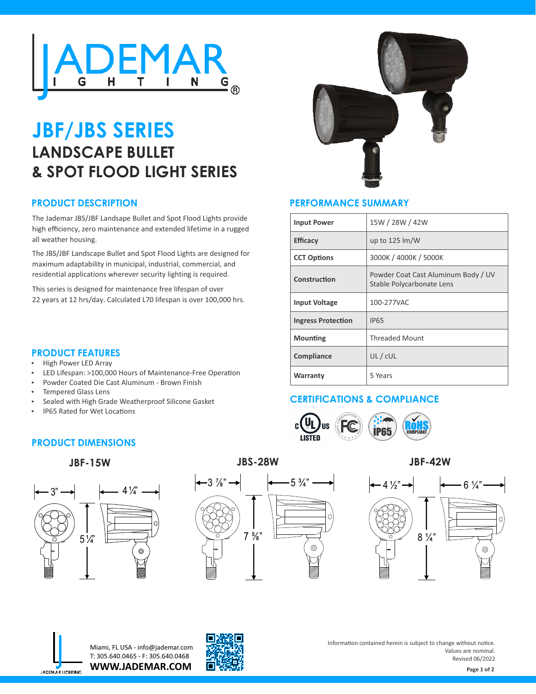

# **JBF/JBS SERIES LANDSCAPE BULLET & SPOT FLOOD LIGHT SERIES**

## **PRODUCT DESCRIPTION**

The Jademar JBS/JBF Landsape Bullet and Spot Flood Lights provide high efficiency, zero maintenance and extended lifetime in a rugged all weather housing.

The JBS/JBF Landscape Bullet and Spot Flood Lights are designed for maximum adaptability in municipal, industrial, commercial, and residential applications wherever security lighting is required.

This series is designed for maintenance free lifespan of over 22 years at 12 hrs/day. Calculated L70 lifespan is over 100,000 hrs.

LED Lifespan: >100,000 Hours of Maintenance-Free Operation

Powder Coated Die Cast Aluminum - Brown Finish

Sealed with High Grade Weatherproof Silicone Gasket



## **PERFORMANCE SUMMARY**

| <b>Input Power</b>        | 15W / 28W / 42W                                                  |  |  |
|---------------------------|------------------------------------------------------------------|--|--|
| <b>Efficacy</b>           | up to $125 \, \text{Im/W}$                                       |  |  |
| <b>CCT Options</b>        | 3000K / 4000K / 5000K                                            |  |  |
| Construction              | Powder Coat Cast Aluminum Body / UV<br>Stable Polycarbonate Lens |  |  |
| <b>Input Voltage</b>      | 100-277VAC                                                       |  |  |
| <b>Ingress Protection</b> | <b>IP65</b>                                                      |  |  |
| <b>Mounting</b>           | <b>Threaded Mount</b>                                            |  |  |
| <b>Compliance</b>         | UL/cUL                                                           |  |  |
| Warranty                  | 5 Years                                                          |  |  |

# **CERTIFICATIONS & COMPLIANCE**



**PRODUCT DIMENSIONS**

High Power LED Array

**PRODUCT FEATURES**

Tempered Glass Lens

## **JBF-15W**

**IP65 Rated for Wet Locations** 



# **JBS-28W**









**WWW.JADEMAR.COM** Miami, FL USA - info@jademar.com T: 305.640.0465 - F: 305.640.0468



Information contained herein is subject to change without notice. Values are nominal. Revised 06/2022